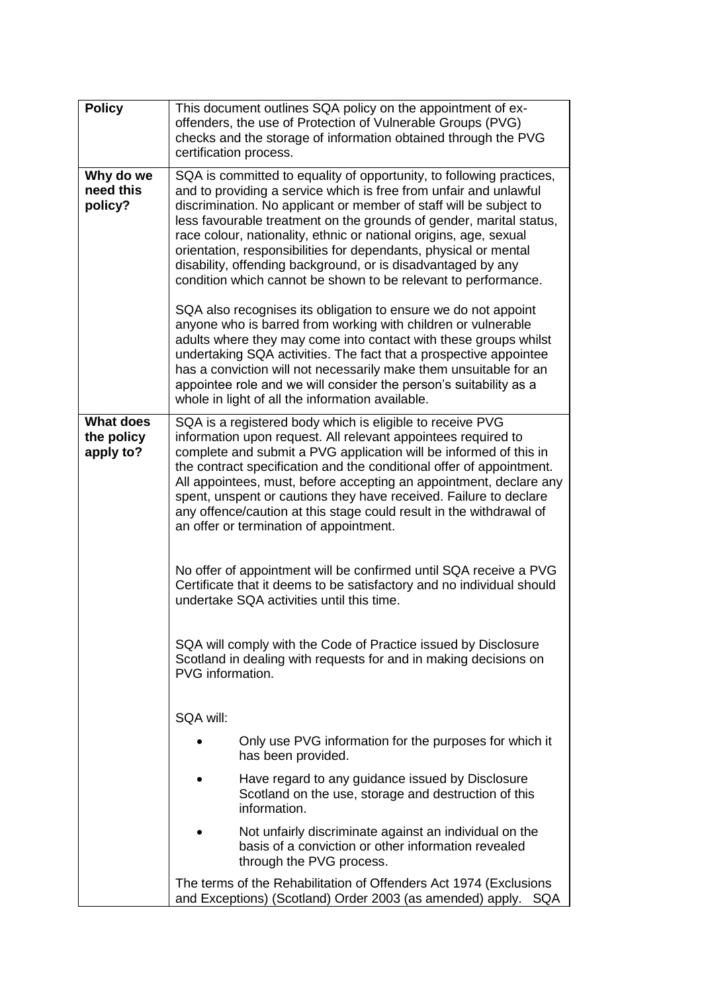| <b>Policy</b>                               | This document outlines SQA policy on the appointment of ex-<br>offenders, the use of Protection of Vulnerable Groups (PVG)<br>checks and the storage of information obtained through the PVG<br>certification process.                                                                                                                                                                                                                                                                                                                                            |
|---------------------------------------------|-------------------------------------------------------------------------------------------------------------------------------------------------------------------------------------------------------------------------------------------------------------------------------------------------------------------------------------------------------------------------------------------------------------------------------------------------------------------------------------------------------------------------------------------------------------------|
| Why do we<br>need this<br>policy?           | SQA is committed to equality of opportunity, to following practices,<br>and to providing a service which is free from unfair and unlawful<br>discrimination. No applicant or member of staff will be subject to<br>less favourable treatment on the grounds of gender, marital status,<br>race colour, nationality, ethnic or national origins, age, sexual<br>orientation, responsibilities for dependants, physical or mental<br>disability, offending background, or is disadvantaged by any<br>condition which cannot be shown to be relevant to performance. |
|                                             | SQA also recognises its obligation to ensure we do not appoint<br>anyone who is barred from working with children or vulnerable<br>adults where they may come into contact with these groups whilst<br>undertaking SQA activities. The fact that a prospective appointee<br>has a conviction will not necessarily make them unsuitable for an<br>appointee role and we will consider the person's suitability as a<br>whole in light of all the information available.                                                                                            |
| <b>What does</b><br>the policy<br>apply to? | SQA is a registered body which is eligible to receive PVG<br>information upon request. All relevant appointees required to<br>complete and submit a PVG application will be informed of this in<br>the contract specification and the conditional offer of appointment.<br>All appointees, must, before accepting an appointment, declare any<br>spent, unspent or cautions they have received. Failure to declare<br>any offence/caution at this stage could result in the withdrawal of<br>an offer or termination of appointment.                              |
|                                             | No offer of appointment will be confirmed until SQA receive a PVG<br>Certificate that it deems to be satisfactory and no individual should<br>undertake SQA activities until this time.                                                                                                                                                                                                                                                                                                                                                                           |
|                                             | SQA will comply with the Code of Practice issued by Disclosure<br>Scotland in dealing with requests for and in making decisions on<br>PVG information.                                                                                                                                                                                                                                                                                                                                                                                                            |
|                                             | SQA will:                                                                                                                                                                                                                                                                                                                                                                                                                                                                                                                                                         |
|                                             | Only use PVG information for the purposes for which it<br>has been provided.                                                                                                                                                                                                                                                                                                                                                                                                                                                                                      |
|                                             | Have regard to any guidance issued by Disclosure<br>Scotland on the use, storage and destruction of this<br>information.                                                                                                                                                                                                                                                                                                                                                                                                                                          |
|                                             | Not unfairly discriminate against an individual on the<br>basis of a conviction or other information revealed<br>through the PVG process.                                                                                                                                                                                                                                                                                                                                                                                                                         |
|                                             | The terms of the Rehabilitation of Offenders Act 1974 (Exclusions<br>and Exceptions) (Scotland) Order 2003 (as amended) apply. SQA                                                                                                                                                                                                                                                                                                                                                                                                                                |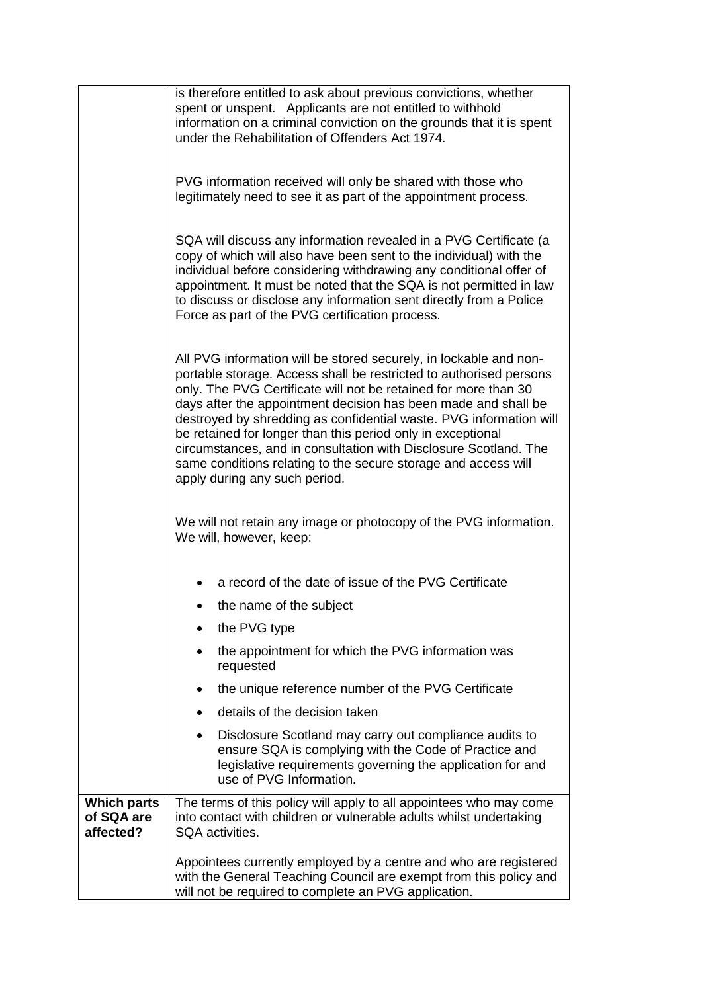|                                               | is therefore entitled to ask about previous convictions, whether<br>spent or unspent. Applicants are not entitled to withhold<br>information on a criminal conviction on the grounds that it is spent<br>under the Rehabilitation of Offenders Act 1974.                                                                                                                                                                                                                                                                                                                                 |
|-----------------------------------------------|------------------------------------------------------------------------------------------------------------------------------------------------------------------------------------------------------------------------------------------------------------------------------------------------------------------------------------------------------------------------------------------------------------------------------------------------------------------------------------------------------------------------------------------------------------------------------------------|
|                                               | PVG information received will only be shared with those who<br>legitimately need to see it as part of the appointment process.                                                                                                                                                                                                                                                                                                                                                                                                                                                           |
|                                               | SQA will discuss any information revealed in a PVG Certificate (a<br>copy of which will also have been sent to the individual) with the<br>individual before considering withdrawing any conditional offer of<br>appointment. It must be noted that the SQA is not permitted in law<br>to discuss or disclose any information sent directly from a Police<br>Force as part of the PVG certification process.                                                                                                                                                                             |
|                                               | All PVG information will be stored securely, in lockable and non-<br>portable storage. Access shall be restricted to authorised persons<br>only. The PVG Certificate will not be retained for more than 30<br>days after the appointment decision has been made and shall be<br>destroyed by shredding as confidential waste. PVG information will<br>be retained for longer than this period only in exceptional<br>circumstances, and in consultation with Disclosure Scotland. The<br>same conditions relating to the secure storage and access will<br>apply during any such period. |
|                                               | We will not retain any image or photocopy of the PVG information.<br>We will, however, keep:                                                                                                                                                                                                                                                                                                                                                                                                                                                                                             |
|                                               | a record of the date of issue of the PVG Certificate                                                                                                                                                                                                                                                                                                                                                                                                                                                                                                                                     |
|                                               | the name of the subject                                                                                                                                                                                                                                                                                                                                                                                                                                                                                                                                                                  |
|                                               | the PVG type                                                                                                                                                                                                                                                                                                                                                                                                                                                                                                                                                                             |
|                                               | the appointment for which the PVG information was<br>$\bullet$<br>requested                                                                                                                                                                                                                                                                                                                                                                                                                                                                                                              |
|                                               | the unique reference number of the PVG Certificate                                                                                                                                                                                                                                                                                                                                                                                                                                                                                                                                       |
|                                               | details of the decision taken                                                                                                                                                                                                                                                                                                                                                                                                                                                                                                                                                            |
|                                               | Disclosure Scotland may carry out compliance audits to<br>ensure SQA is complying with the Code of Practice and<br>legislative requirements governing the application for and<br>use of PVG Information.                                                                                                                                                                                                                                                                                                                                                                                 |
| <b>Which parts</b><br>of SQA are<br>affected? | The terms of this policy will apply to all appointees who may come<br>into contact with children or vulnerable adults whilst undertaking<br>SQA activities.                                                                                                                                                                                                                                                                                                                                                                                                                              |
|                                               | Appointees currently employed by a centre and who are registered<br>with the General Teaching Council are exempt from this policy and<br>will not be required to complete an PVG application.                                                                                                                                                                                                                                                                                                                                                                                            |